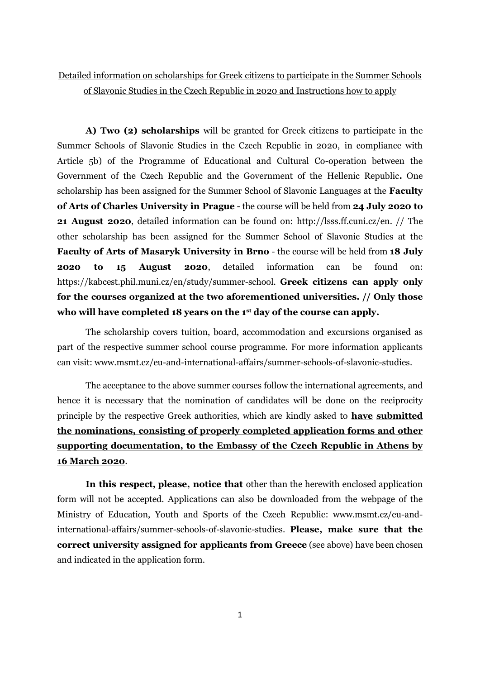Detailed information on scholarships for Greek citizens to participate in the Summer Schools of Slavonic Studies in the Czech Republic in 2020 and Instructions how to apply

**A) Two (2) scholarships** will be granted for Greek citizens to participate in the Summer Schools of Slavonic Studies in the Czech Republic in 2020, in compliance with Article 5b) of the Programme of Educational and Cultural Co-operation between the Government of the Czech Republic and the Government of the Hellenic Republic**.** One scholarship has been assigned for the Summer School of Slavonic Languages at the **Faculty of Arts of Charles University in Prague** - the course will be held from **24 July 2020 to 21 August 2020**, detailed information can be found on: http://lsss.ff.cuni.cz/en. // The other scholarship has been assigned for the Summer School of Slavonic Studies at the **Faculty of Arts of Masaryk University in Brno** - the course will be held from **18 July 2020 to 15 August 2020**, detailed information can be found on: https://kabcest.phil.muni.cz/en/study/summer-school. **Greek citizens can apply only for the courses organized at the two aforementioned universities. // Only those who will have completed 18 years on the 1st day of the course can apply.**

The scholarship covers tuition, board, accommodation and excursions organised as part of the respective summer school course programme. For more information applicants can visit: www.msmt.cz/eu-and-international-affairs/summer-schools-of-slavonic-studies.

The acceptance to the above summer courses follow the international agreements, and hence it is necessary that the nomination of candidates will be done on the reciprocity principle by the respective Greek authorities, which are kindly asked to **have submitted the nominations, consisting of properly completed application forms and other supporting documentation, to the Embassy of the Czech Republic in Athens by 16 March 2020**.

**In this respect, please, notice that** other than the herewith enclosed application form will not be accepted. Applications can also be downloaded from the webpage of the Ministry of Education, Youth and Sports of the Czech Republic: www.msmt.cz/eu-andinternational-affairs/summer-schools-of-slavonic-studies. **Please, make sure that the correct university assigned for applicants from Greece** (see above) have been chosen and indicated in the application form.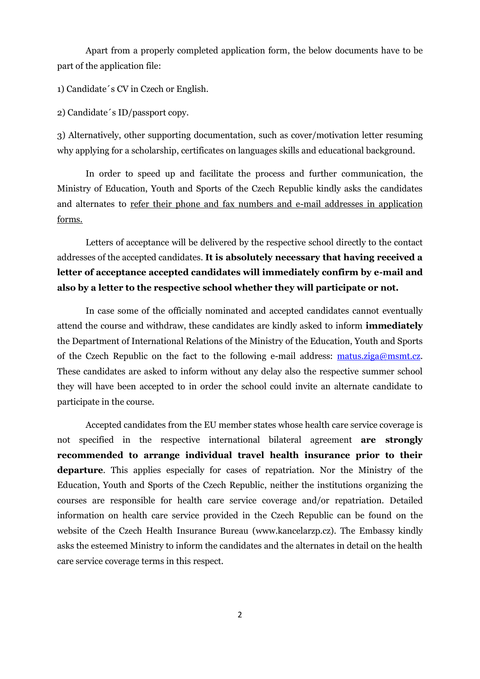Apart from a properly completed application form, the below documents have to be part of the application file:

1) Candidate´s CV in Czech or English.

2) Candidate´s ID/passport copy.

3) Alternatively, other supporting documentation, such as cover/motivation letter resuming why applying for a scholarship, certificates on languages skills and educational background.

In order to speed up and facilitate the process and further communication, the Ministry of Education, Youth and Sports of the Czech Republic kindly asks the candidates and alternates to refer their phone and fax numbers and e-mail addresses in application forms.

Letters of acceptance will be delivered by the respective school directly to the contact addresses of the accepted candidates. **It is absolutely necessary that having received a letter of acceptance accepted candidates will immediately confirm by e-mail and also by a letter to the respective school whether they will participate or not.**

In case some of the officially nominated and accepted candidates cannot eventually attend the course and withdraw, these candidates are kindly asked to inform **immediately**  the Department of International Relations of the Ministry of the Education, Youth and Sports of the Czech Republic on the fact to the following e-mail address: [matus.ziga@msmt.cz.](mailto:matus.ziga@msmt.cz) These candidates are asked to inform without any delay also the respective summer school they will have been accepted to in order the school could invite an alternate candidate to participate in the course.

Accepted candidates from the EU member states whose health care service coverage is not specified in the respective international bilateral agreement **are strongly recommended to arrange individual travel health insurance prior to their departure**. This applies especially for cases of repatriation. Nor the Ministry of the Education, Youth and Sports of the Czech Republic, neither the institutions organizing the courses are responsible for health care service coverage and/or repatriation. Detailed information on health care service provided in the Czech Republic can be found on the website of the Czech Health Insurance Bureau (www.kancelarzp.cz). The Embassy kindly asks the esteemed Ministry to inform the candidates and the alternates in detail on the health care service coverage terms in this respect.